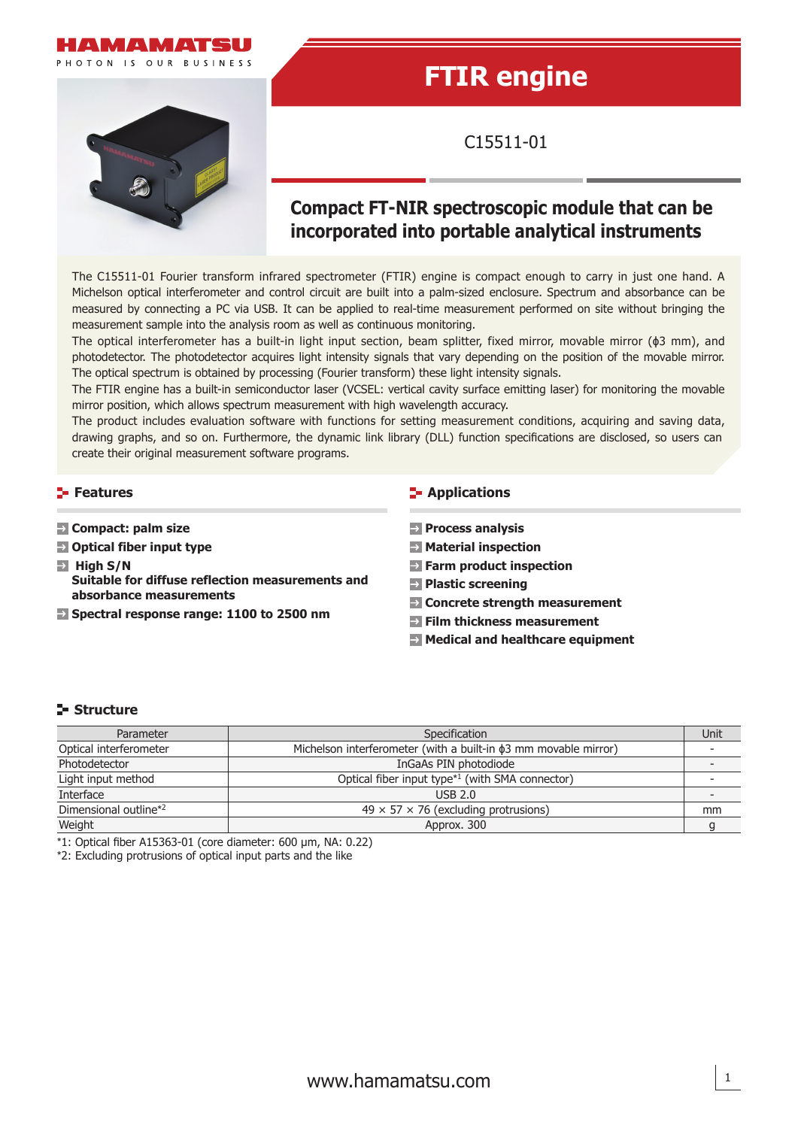

# **FTIR engine**

C15511-01

## **Compact FT-NIR spectroscopic module that can be incorporated into portable analytical instruments**

The C15511-01 Fourier transform infrared spectrometer (FTIR) engine is compact enough to carry in just one hand. A Michelson optical interferometer and control circuit are built into a palm-sized enclosure. Spectrum and absorbance can be measured by connecting a PC via USB. It can be applied to real-time measurement performed on site without bringing the measurement sample into the analysis room as well as continuous monitoring.

The optical interferometer has a built-in light input section, beam splitter, fixed mirror, movable mirror (ϕ3 mm), and photodetector. The photodetector acquires light intensity signals that vary depending on the position of the movable mirror. The optical spectrum is obtained by processing (Fourier transform) these light intensity signals.

The FTIR engine has a built-in semiconductor laser (VCSEL: vertical cavity surface emitting laser) for monitoring the movable mirror position, which allows spectrum measurement with high wavelength accuracy.

The product includes evaluation software with functions for setting measurement conditions, acquiring and saving data, drawing graphs, and so on. Furthermore, the dynamic link library (DLL) function specifications are disclosed, so users can create their original measurement software programs.

#### **Features**

- **Compact: palm size**
- **Optical fiber input type**
- $\overline{H}$  High S/N **Suitable for diffuse reflection measurements and absorbance measurements**
- **Spectral response range: 1100 to 2500 nm**

#### **E-** Applications

- **Process analysis**
- **Material inspection**
- **Farm product inspection**
- **Plastic screening**
- **Concrete strength measurement**
- **Film thickness measurement**
- **Medical and healthcare equipment**

1

#### **Structure**

| Parameter                         | Specification                                                         | Unit |
|-----------------------------------|-----------------------------------------------------------------------|------|
| Optical interferometer            | Michelson interferometer (with a built-in $\phi$ 3 mm movable mirror) |      |
| Photodetector                     | InGaAs PIN photodiode                                                 |      |
| Light input method                | Optical fiber input type <sup>*1</sup> (with SMA connector)           |      |
| Interface                         | USB 2.0                                                               |      |
| Dimensional outline* <sup>2</sup> | $49 \times 57 \times 76$ (excluding protrusions)                      | mm   |
| Weight                            | Approx. 300                                                           |      |

 $*1$ : Optical fiber A15363-01 (core diameter: 600 µm, NA: 0.22)

\*2: Excluding protrusions of optical input parts and the like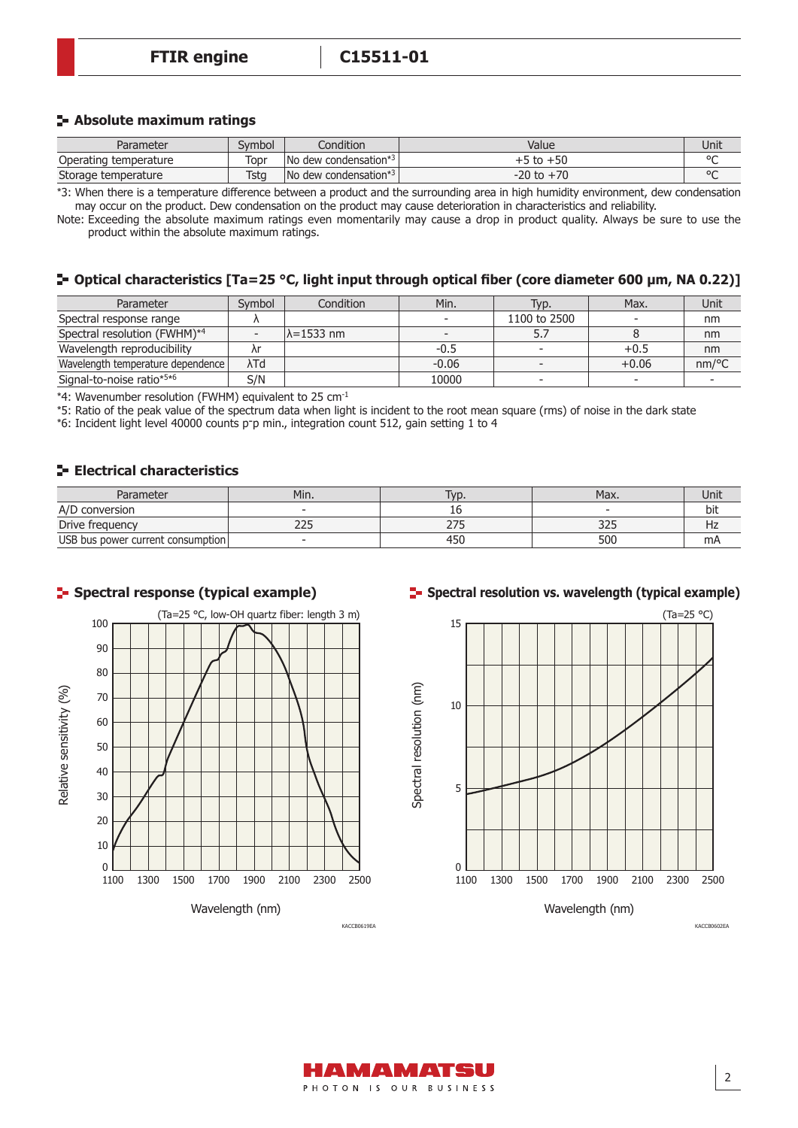#### **Absolute maximum ratings**

| Parameter             | Svmbol      | Condition                                        | Value          | Unit    |
|-----------------------|-------------|--------------------------------------------------|----------------|---------|
| Operating temperature | Topr        | $\sqrt{N}$ dew condensation*3                    | $+5$ to $+50$  | $\circ$ |
| Storage temperature   | <b>Tstg</b> | $\blacksquare$ No dew condensation* <sup>3</sup> | $-20$ to $+70$ | $\circ$ |

\*3: When there is a temperature difference between a product and the surrounding area in high humidity environment, dew condensation may occur on the product. Dew condensation on the product may cause deterioration in characteristics and reliability.

Note: Exceeding the absolute maximum ratings even momentarily may cause a drop in product quality. Always be sure to use the product within the absolute maximum ratings.

#### **Optical characteristics [Ta=25 °C, light input through optical fiber (core diameter 600 µm, NA 0.22)]**

| Parameter                         | Symbol | Condition          | Min.    | Typ.         | Max.    | Unit  |
|-----------------------------------|--------|--------------------|---------|--------------|---------|-------|
| Spectral response range           |        |                    |         | 1100 to 2500 | $\sim$  | nm    |
| Spectral resolution (FWHM)*4      |        | $\lambda$ =1533 nm |         |              |         | nm    |
| Wavelength reproducibility        |        |                    | $-0.5$  |              | $+0.5$  | nm    |
| Wavelength temperature dependence | λTd    |                    | $-0.06$ |              | $+0.06$ | nm/°C |
| Signal-to-noise ratio*5*6         | S/N    |                    | 10000   |              | $\sim$  |       |

\*4: Wavenumber resolution (FWHM) equivalent to 25 cm-1

\*5: Ratio of the peak value of the spectrum data when light is incident to the root mean square (rms) of noise in the dark state

\*6: Incident light level 40000 counts p-p min., integration count 512, gain setting 1 to 4

#### **Electrical characteristics**

| Parameter                         | Min.         | T <sub>VD</sub> . | Max.                             | Unit |
|-----------------------------------|--------------|-------------------|----------------------------------|------|
| A/D conversion                    |              |                   |                                  | bit  |
| Drive frequency                   | $\sim$<br>دے | っっこ               | $\overline{\phantom{a}}$<br>ر ےر | Hz   |
| USB bus power current consumption |              | 450               | 500                              | mA   |

#### **F** Spectral response (typical example)



#### **F** Spectral resolution vs. wavelength (typical example)



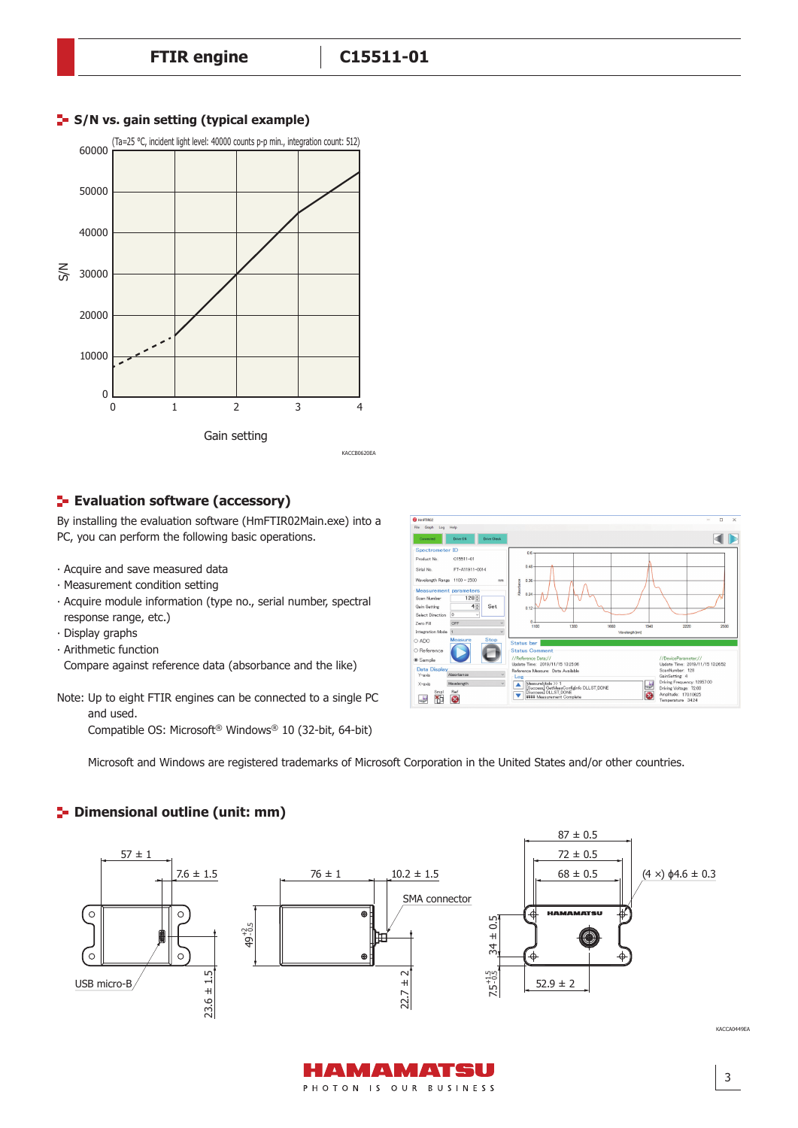



#### **E**- Evaluation software (accessory)

By installing the evaluation software (HmFTIR02Main.exe) into a PC, you can perform the following basic operations.

- ‧ Acquire and save measured data
- ‧ Measurement condition setting
- ‧ Acquire module information (type no., serial number, spectral response range, etc.)
- ‧ Display graphs
- ‧ Arithmetic function
- Compare against reference data (absorbance and the like)

Note: Up to eight FTIR engines can be connected to a single PC and used.

Compatible OS: Microsoft® Windows® 10 (32-bit, 64-bit)



3

Microsoft and Windows are registered trademarks of Microsoft Corporation in the United States and/or other countries.

#### **<sup>1</sup>** Dimensional outline (unit: mm)



AMAMATSU